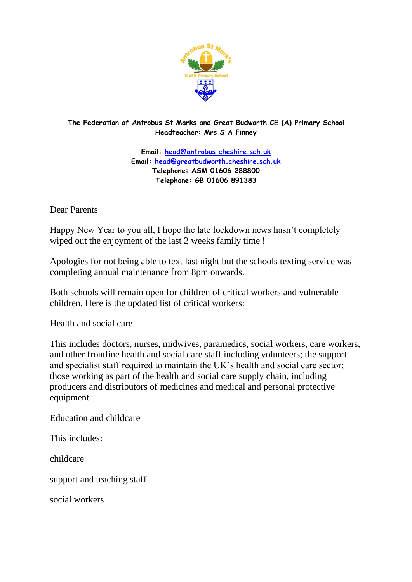

**The Federation of Antrobus St Marks and Great Budworth CE (A) Primary School Headteacher: Mrs S A Finney**

> **Email: [head@antrobus.cheshire.sch.uk](mailto:head@antrobus.cheshire.sch.uk) Email: [head@greatbudworth.cheshire.sch.uk](mailto:head@greatbudworth.cheshire.sch.uk) Telephone: ASM 01606 288800 Telephone: GB 01606 891383**

Dear Parents

Happy New Year to you all, I hope the late lockdown news hasn't completely wiped out the enjoyment of the last 2 weeks family time !

Apologies for not being able to text last night but the schools texting service was completing annual maintenance from 8pm onwards.

Both schools will remain open for children of critical workers and vulnerable children. Here is the updated list of critical workers:

Health and social care

This includes doctors, nurses, midwives, paramedics, social workers, care workers, and other frontline health and social care staff including volunteers; the support and specialist staff required to maintain the UK's health and social care sector; those working as part of the health and social care supply chain, including producers and distributors of medicines and medical and personal protective equipment.

Education and childcare

This includes:

childcare

support and teaching staff

social workers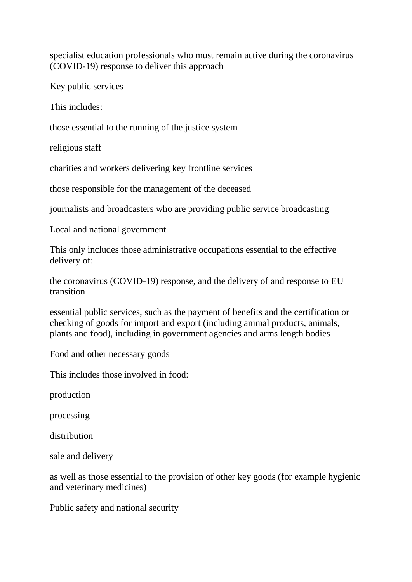specialist education professionals who must remain active during the coronavirus (COVID-19) response to deliver this approach

Key public services

This includes:

those essential to the running of the justice system

religious staff

charities and workers delivering key frontline services

those responsible for the management of the deceased

journalists and broadcasters who are providing public service broadcasting

Local and national government

This only includes those administrative occupations essential to the effective delivery of:

the coronavirus (COVID-19) response, and the delivery of and response to EU transition

essential public services, such as the payment of benefits and the certification or checking of goods for import and export (including animal products, animals, plants and food), including in government agencies and arms length bodies

Food and other necessary goods

This includes those involved in food:

production

processing

distribution

sale and delivery

as well as those essential to the provision of other key goods (for example hygienic and veterinary medicines)

Public safety and national security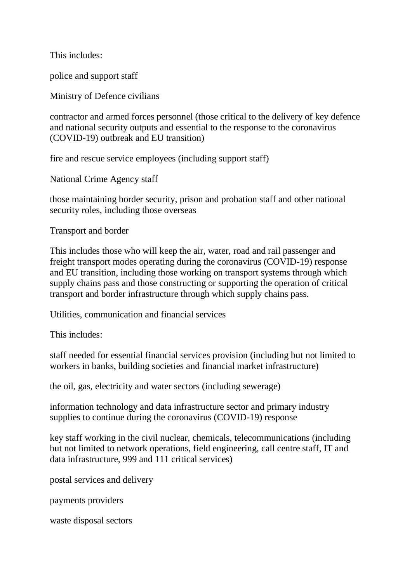This includes:

police and support staff

Ministry of Defence civilians

contractor and armed forces personnel (those critical to the delivery of key defence and national security outputs and essential to the response to the coronavirus (COVID-19) outbreak and EU transition)

fire and rescue service employees (including support staff)

National Crime Agency staff

those maintaining border security, prison and probation staff and other national security roles, including those overseas

Transport and border

This includes those who will keep the air, water, road and rail passenger and freight transport modes operating during the coronavirus (COVID-19) response and EU transition, including those working on transport systems through which supply chains pass and those constructing or supporting the operation of critical transport and border infrastructure through which supply chains pass.

Utilities, communication and financial services

This includes:

staff needed for essential financial services provision (including but not limited to workers in banks, building societies and financial market infrastructure)

the oil, gas, electricity and water sectors (including sewerage)

information technology and data infrastructure sector and primary industry supplies to continue during the coronavirus (COVID-19) response

key staff working in the civil nuclear, chemicals, telecommunications (including but not limited to network operations, field engineering, call centre staff, IT and data infrastructure, 999 and 111 critical services)

postal services and delivery

payments providers

waste disposal sectors